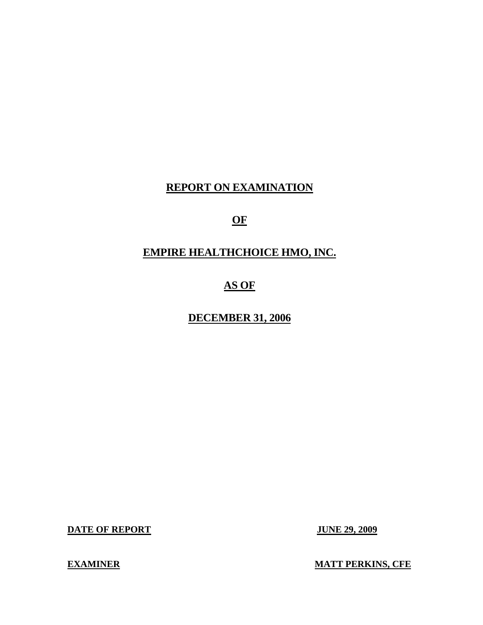# **REPORT ON EXAMINATION**

# **OF**

# **EMPIRE HEALTHCHOICE HMO, INC.**

# **AS OF**

#### **DECEMBER 31, 2006**

**DATE OF REPORT JUNE 29, 2009** 

**EXAMINER MATT PERKINS, CFE**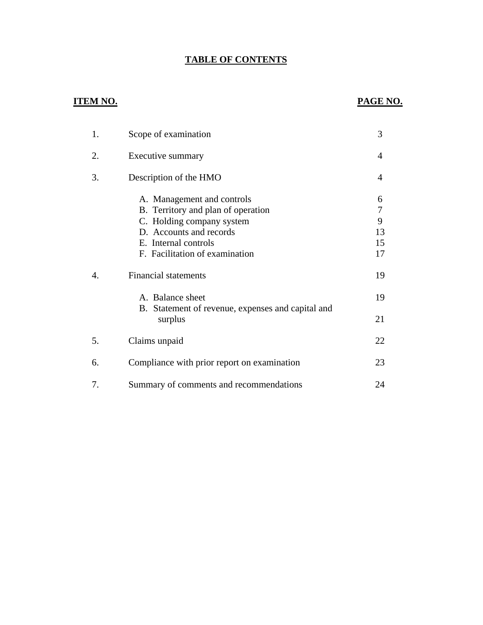#### **TABLE OF CONTENTS**

#### **ITEM NO. PAGE NO.**

| 1. | Scope of examination                                                                                                                                                               | 3                             |
|----|------------------------------------------------------------------------------------------------------------------------------------------------------------------------------------|-------------------------------|
| 2. | Executive summary                                                                                                                                                                  | 4                             |
| 3. | Description of the HMO                                                                                                                                                             | 4                             |
|    | A. Management and controls<br>B. Territory and plan of operation<br>C. Holding company system<br>D. Accounts and records<br>E. Internal controls<br>F. Facilitation of examination | 6<br>7<br>9<br>13<br>15<br>17 |
| 4. | <b>Financial statements</b>                                                                                                                                                        | 19                            |
|    | A. Balance sheet                                                                                                                                                                   | 19                            |
|    | B. Statement of revenue, expenses and capital and<br>surplus                                                                                                                       | 21                            |
| 5. | Claims unpaid                                                                                                                                                                      | 22                            |
| 6. | Compliance with prior report on examination                                                                                                                                        | 23                            |
| 7. | Summary of comments and recommendations                                                                                                                                            | 24                            |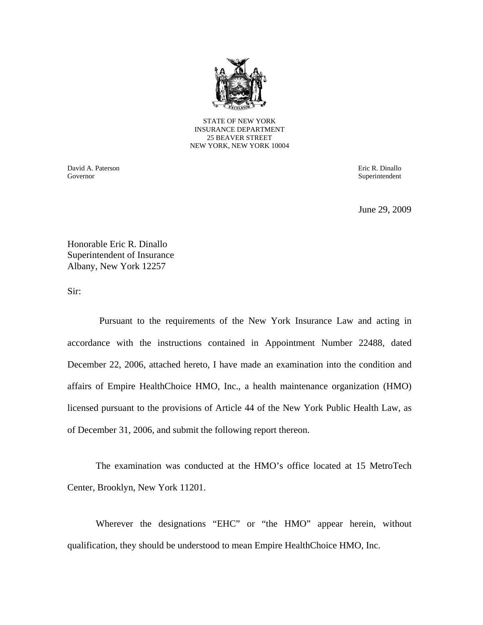

STATE OF NEW YORK INSURANCE DEPARTMENT 25 BEAVER STREET NEW YORK, NEW YORK 10004

David A. Paterson Eric R. Dinallo Governor Superintendent Superintendent Superintendent Superintendent Superintendent Superintendent Superintendent Superintendent Superintendent Superintendent Superintendent Superintendent Superintendent Superintendent Sup

June 29, 2009

Honorable Eric R. Dinallo Superintendent of Insurance Albany, New York 12257

Sir:

Pursuant to the requirements of the New York Insurance Law and acting in accordance with the instructions contained in Appointment Number 22488, dated December 22, 2006, attached hereto, I have made an examination into the condition and affairs of Empire HealthChoice HMO, Inc., a health maintenance organization (HMO) licensed pursuant to the provisions of Article 44 of the New York Public Health Law, as of December 31, 2006, and submit the following report thereon.

The examination was conducted at the HMO's office located at 15 MetroTech Center, Brooklyn, New York 11201.

Wherever the designations "EHC" or "the HMO" appear herein, without qualification, they should be understood to mean Empire HealthChoice HMO, Inc.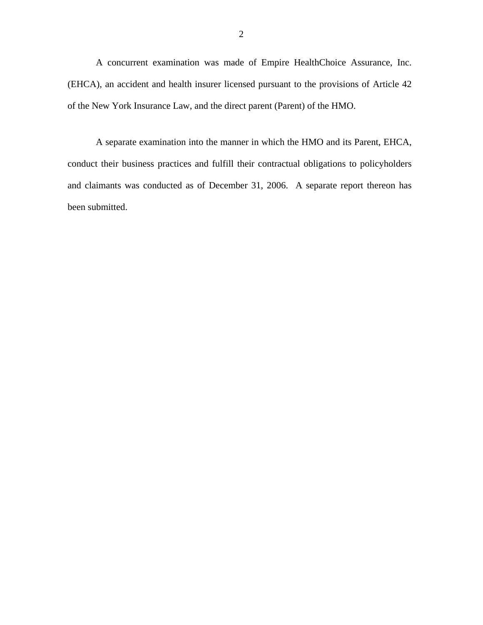A concurrent examination was made of Empire HealthChoice Assurance, Inc. (EHCA), an accident and health insurer licensed pursuant to the provisions of Article 42 of the New York Insurance Law, and the direct parent (Parent) of the HMO.

A separate examination into the manner in which the HMO and its Parent, EHCA, conduct their business practices and fulfill their contractual obligations to policyholders and claimants was conducted as of December 31, 2006. A separate report thereon has been submitted.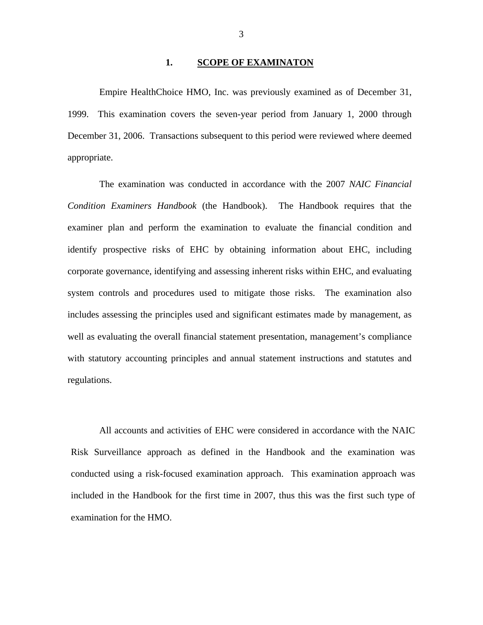#### **1. SCOPE OF EXAMINATON**

Empire HealthChoice HMO, Inc. was previously examined as of December 31, 1999. This examination covers the seven-year period from January 1, 2000 through December 31, 2006. Transactions subsequent to this period were reviewed where deemed appropriate.

The examination was conducted in accordance with the 2007 *NAIC Financial Condition Examiners Handbook* (the Handbook). The Handbook requires that the examiner plan and perform the examination to evaluate the financial condition and identify prospective risks of EHC by obtaining information about EHC, including corporate governance, identifying and assessing inherent risks within EHC, and evaluating system controls and procedures used to mitigate those risks. The examination also includes assessing the principles used and significant estimates made by management, as well as evaluating the overall financial statement presentation, management's compliance with statutory accounting principles and annual statement instructions and statutes and regulations.

All accounts and activities of EHC were considered in accordance with the NAIC Risk Surveillance approach as defined in the Handbook and the examination was conducted using a risk-focused examination approach. This examination approach was included in the Handbook for the first time in 2007, thus this was the first such type of examination for the HMO.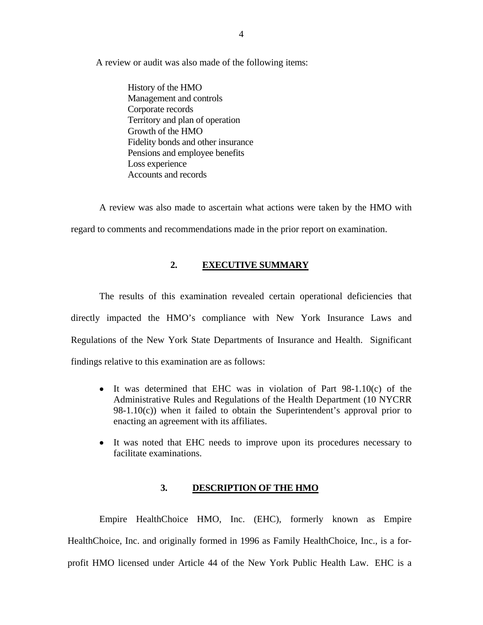<span id="page-5-0"></span>A review or audit was also made of the following items: History of the HMO

Management and controls Corporate records Territory and plan of operation Growth of the HMO Fidelity bonds and other insurance Pensions and employee benefits Loss experience Accounts and records

A review was also made to ascertain what actions were taken by the HMO with regard to comments and recommendations made in the prior report on examination.

#### **2. EXECUTIVE SUMMARY**

The results of this examination revealed certain operational deficiencies that directly impacted the HMO's compliance with New York Insurance Laws and Regulations of the New York State Departments of Insurance and Health. Significant findings relative to this examination are as follows:

- It was determined that EHC was in violation of Part 98-1.10(c) of the Administrative Rules and Regulations of the Health Department (10 NYCRR  $98-1.10(c)$ ) when it failed to obtain the Superintendent's approval prior to enacting an agreement with its affiliates.
- It was noted that EHC needs to improve upon its procedures necessary to facilitate examinations.

#### **3. DESCRIPTION OF THE HMO**

Empire HealthChoice HMO, Inc. (EHC), formerly known as Empire HealthChoice, Inc. and originally formed in 1996 as Family HealthChoice, Inc., is a forprofit HMO licensed under Article 44 of the New York Public Health Law. EHC is a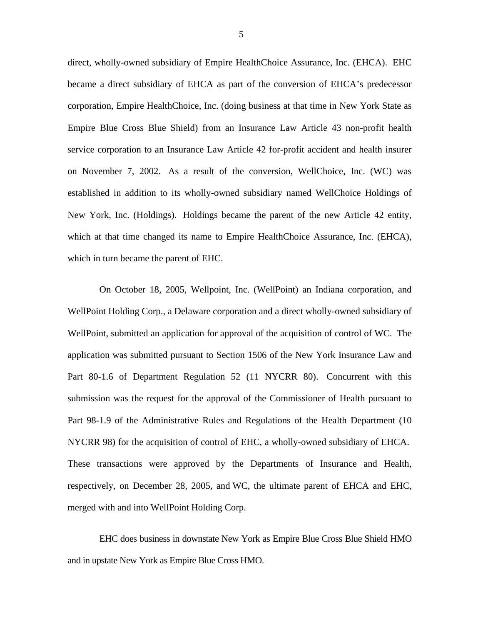direct, wholly-owned subsidiary of Empire HealthChoice Assurance, Inc. (EHCA). EHC became a direct subsidiary of EHCA as part of the conversion of EHCA's predecessor corporation, Empire HealthChoice, Inc. (doing business at that time in New York State as Empire Blue Cross Blue Shield) from an Insurance Law Article 43 non-profit health service corporation to an Insurance Law Article 42 for-profit accident and health insurer on November 7, 2002. As a result of the conversion, WellChoice, Inc. (WC) was established in addition to its wholly-owned subsidiary named WellChoice Holdings of New York, Inc. (Holdings). Holdings became the parent of the new Article 42 entity, which at that time changed its name to Empire HealthChoice Assurance, Inc. (EHCA), which in turn became the parent of EHC.

On October 18, 2005, Wellpoint, Inc. (WellPoint) an Indiana corporation, and WellPoint Holding Corp., a Delaware corporation and a direct wholly-owned subsidiary of WellPoint, submitted an application for approval of the acquisition of control of WC. The application was submitted pursuant to Section 1506 of the New York Insurance Law and Part 80-1.6 of Department Regulation 52 (11 NYCRR 80). Concurrent with this submission was the request for the approval of the Commissioner of Health pursuant to Part 98-1.9 of the Administrative Rules and Regulations of the Health Department (10 NYCRR 98) for the acquisition of control of EHC, a wholly-owned subsidiary of EHCA. These transactions were approved by the Departments of Insurance and Health, respectively, on December 28, 2005, and WC, the ultimate parent of EHCA and EHC, merged with and into WellPoint Holding Corp.

EHC does business in downstate New York as Empire Blue Cross Blue Shield HMO and in upstate New York as Empire Blue Cross HMO.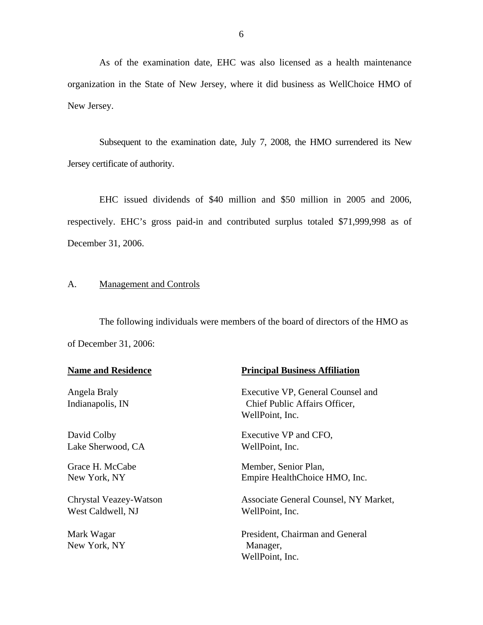As of the examination date, EHC was also licensed as a health maintenance organization in the State of New Jersey, where it did business as WellChoice HMO of New Jersey.

Subsequent to the examination date, July 7, 2008, the HMO surrendered its New Jersey certificate of authority.

EHC issued dividends of \$40 million and \$50 million in 2005 and 2006, respectively. EHC's gross paid-in and contributed surplus totaled \$71,999,998 as of December 31, 2006.

#### A. Management and Controls

The following individuals were members of the board of directors of the HMO as of December 31, 2006:

| <b>Name and Residence</b>        | <b>Principal Business Affiliation</b>                                                 |
|----------------------------------|---------------------------------------------------------------------------------------|
| Angela Braly<br>Indianapolis, IN | Executive VP, General Counsel and<br>Chief Public Affairs Officer,<br>WellPoint, Inc. |
| David Colby                      | Executive VP and CFO,                                                                 |
| Lake Sherwood, CA                | WellPoint, Inc.                                                                       |
| Grace H. McCabe                  | Member, Senior Plan,                                                                  |
| New York, NY                     | Empire HealthChoice HMO, Inc.                                                         |
| Chrystal Veazey-Watson           | Associate General Counsel, NY Market,                                                 |
| West Caldwell, NJ                | WellPoint, Inc.                                                                       |
| Mark Wagar<br>New York, NY       | President, Chairman and General<br>Manager,<br>WellPoint, Inc.                        |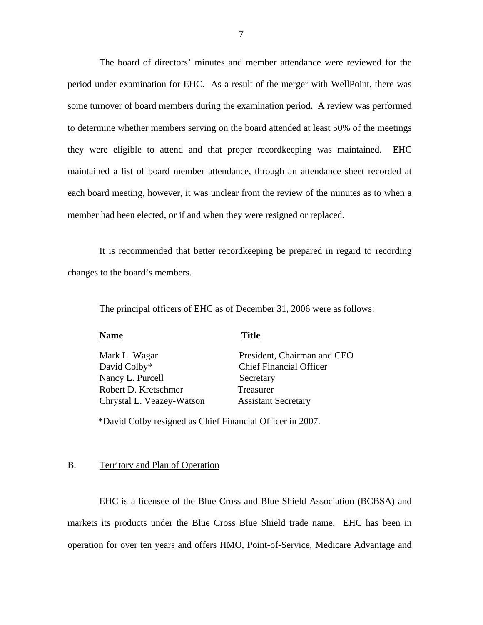<span id="page-8-0"></span>The board of directors' minutes and member attendance were reviewed for the period under examination for EHC. As a result of the merger with WellPoint, there was some turnover of board members during the examination period. A review was performed to determine whether members serving on the board attended at least 50% of the meetings they were eligible to attend and that proper recordkeeping was maintained. EHC maintained a list of board member attendance, through an attendance sheet recorded at each board meeting, however, it was unclear from the review of the minutes as to when a member had been elected, or if and when they were resigned or replaced.

It is recommended that better recordkeeping be prepared in regard to recording changes to the board's members.

The principal officers of EHC as of December 31, 2006 were as follows:

| <b>Name</b>               | <b>Title</b>                   |
|---------------------------|--------------------------------|
| Mark L. Wagar             | President, Chairman and CEO    |
| David Colby*              | <b>Chief Financial Officer</b> |
| Nancy L. Purcell          | Secretary                      |
| Robert D. Kretschmer      | Treasurer                      |
| Chrystal L. Veazey-Watson | <b>Assistant Secretary</b>     |
|                           |                                |

\*David Colby resigned as Chief Financial Officer in 2007.

#### B. Territory and Plan of Operation

EHC is a licensee of the Blue Cross and Blue Shield Association (BCBSA) and markets its products under the Blue Cross Blue Shield trade name. EHC has been in operation for over ten years and offers HMO, Point-of-Service, Medicare Advantage and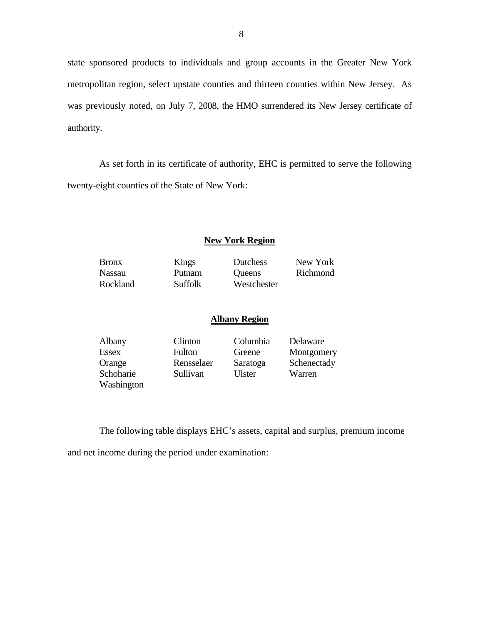state sponsored products to individuals and group accounts in the Greater New York metropolitan region, select upstate counties and thirteen counties within New Jersey. As was previously noted, on July 7, 2008, the HMO surrendered its New Jersey certificate of authority.

As set forth in its certificate of authority, EHC is permitted to serve the following twenty-eight counties of the State of New York:

#### **New York Region**

Bronx Kings Dutchess New York

Nassau Putnam Queens Richmond Rockland Suffolk Westchester

#### **Albany Region**

| Albany       | Clinton    | Columbia | Delaware    |
|--------------|------------|----------|-------------|
| <b>Essex</b> | Fulton     | Greene   | Montgomery  |
| Orange       | Rensselaer | Saratoga | Schenectady |
| Schoharie    | Sullivan   | Ulster   | Warren      |
| Washington   |            |          |             |

The following table displays EHC's assets, capital and surplus, premium income

and net income during the period under examination: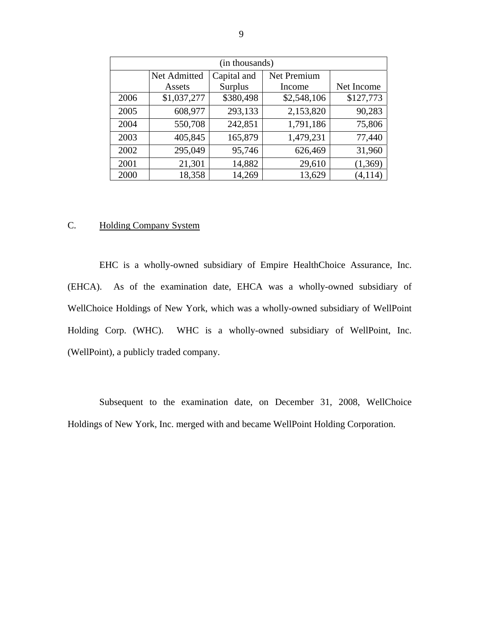| (in thousands) |              |           |             |            |  |  |
|----------------|--------------|-----------|-------------|------------|--|--|
|                | Net Admitted |           |             |            |  |  |
|                | Assets       | Surplus   | Income      | Net Income |  |  |
| 2006           | \$1,037,277  | \$380,498 | \$2,548,106 | \$127,773  |  |  |
| 2005           | 608,977      | 293,133   | 2,153,820   | 90,283     |  |  |
| 2004           | 550,708      | 242,851   | 1,791,186   | 75,806     |  |  |
| 2003           | 405,845      | 165,879   | 1,479,231   | 77,440     |  |  |
| 2002           | 295,049      | 95,746    | 626,469     | 31,960     |  |  |
| 2001           | 21,301       | 14,882    | 29,610      | (1,369)    |  |  |
| 2000           | 18,358       | 14,269    | 13,629      | (4, 114)   |  |  |

#### C. Holding Company System

EHC is a wholly-owned subsidiary of Empire HealthChoice Assurance, Inc. (EHCA). As of the examination date, EHCA was a wholly-owned subsidiary of WellChoice Holdings of New York, which was a wholly-owned subsidiary of WellPoint Holding Corp. (WHC). WHC is a wholly-owned subsidiary of WellPoint, Inc. (WellPoint), a publicly traded company.

Subsequent to the examination date, on December 31, 2008, WellChoice Holdings of New York, Inc. merged with and became WellPoint Holding Corporation.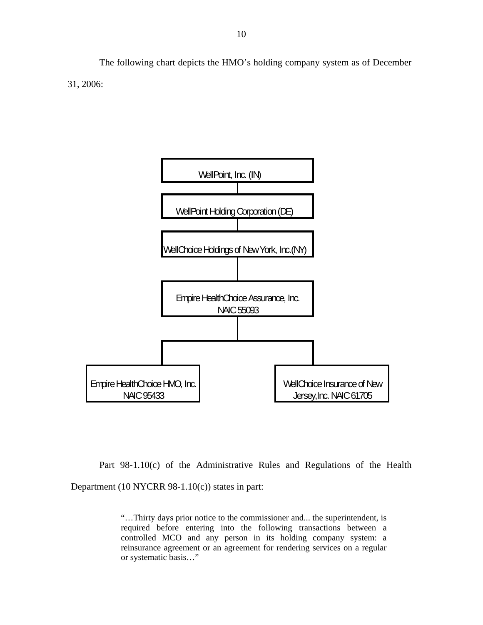The following chart depicts the HMO's holding company system as of December 31, 2006:



Part 98-1.10(c) of the Administrative Rules and Regulations of the Health Department (10 NYCRR 98-1.10(c)) states in part:

> "…Thirty days prior notice to the commissioner and... the superintendent, is required before entering into the following transactions between a controlled MCO and any person in its holding company system: a reinsurance agreement or an agreement for rendering services on a regular or systematic basis…"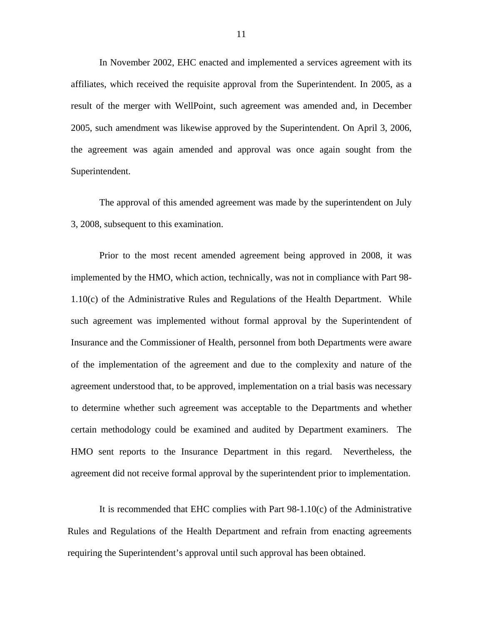In November 2002, EHC enacted and implemented a services agreement with its affiliates, which received the requisite approval from the Superintendent. In 2005, as a result of the merger with WellPoint, such agreement was amended and, in December 2005, such amendment was likewise approved by the Superintendent. On April 3, 2006, the agreement was again amended and approval was once again sought from the Superintendent.

The approval of this amended agreement was made by the superintendent on July 3, 2008, subsequent to this examination.

Prior to the most recent amended agreement being approved in 2008, it was implemented by the HMO, which action, technically, was not in compliance with Part 98- 1.10(c) of the Administrative Rules and Regulations of the Health Department. While such agreement was implemented without formal approval by the Superintendent of Insurance and the Commissioner of Health, personnel from both Departments were aware of the implementation of the agreement and due to the complexity and nature of the agreement understood that, to be approved, implementation on a trial basis was necessary to determine whether such agreement was acceptable to the Departments and whether certain methodology could be examined and audited by Department examiners. The HMO sent reports to the Insurance Department in this regard. Nevertheless, the agreement did not receive formal approval by the superintendent prior to implementation.

It is recommended that EHC complies with Part 98-1.10(c) of the Administrative Rules and Regulations of the Health Department and refrain from enacting agreements requiring the Superintendent's approval until such approval has been obtained.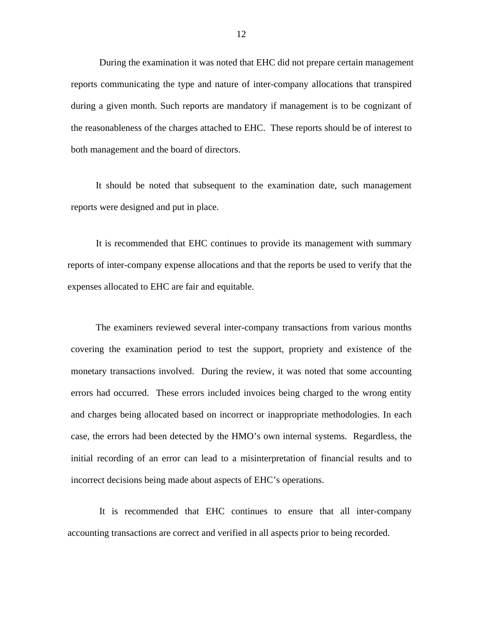During the examination it was noted that EHC did not prepare certain management reports communicating the type and nature of inter-company allocations that transpired during a given month. Such reports are mandatory if management is to be cognizant of the reasonableness of the charges attached to EHC. These reports should be of interest to both management and the board of directors.

It should be noted that subsequent to the examination date, such management reports were designed and put in place.

It is recommended that EHC continues to provide its management with summary reports of inter-company expense allocations and that the reports be used to verify that the expenses allocated to EHC are fair and equitable.

The examiners reviewed several inter-company transactions from various months covering the examination period to test the support, propriety and existence of the monetary transactions involved. During the review, it was noted that some accounting errors had occurred. These errors included invoices being charged to the wrong entity and charges being allocated based on incorrect or inappropriate methodologies. In each case, the errors had been detected by the HMO's own internal systems. Regardless, the initial recording of an error can lead to a misinterpretation of financial results and to incorrect decisions being made about aspects of EHC's operations.

It is recommended that EHC continues to ensure that all inter-company accounting transactions are correct and verified in all aspects prior to being recorded.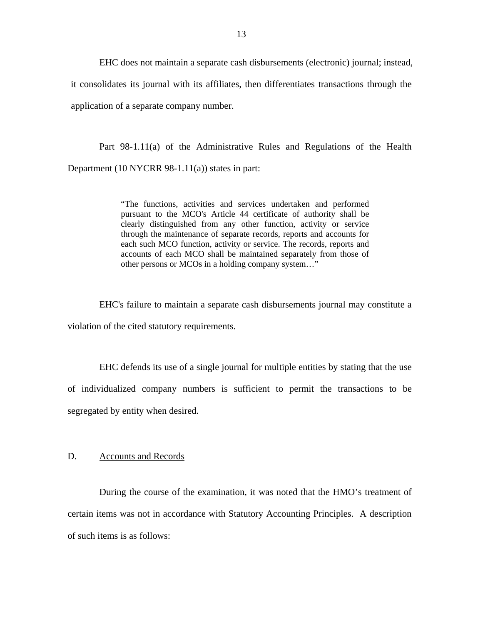<span id="page-14-0"></span>EHC does not maintain a separate cash disbursements (electronic) journal; instead, it consolidates its journal with its affiliates, then differentiates transactions through the application of a separate company number.

Part 98-1.11(a) of the Administrative Rules and Regulations of the Health Department  $(10 NYCRR 98-1.11(a))$  states in part:

> "The functions, activities and services undertaken and performed pursuant to the MCO's Article 44 certificate of authority shall be clearly distinguished from any other function, activity or service through the maintenance of separate records, reports and accounts for each such MCO function, activity or service. The records, reports and accounts of each MCO shall be maintained separately from those of other persons or MCOs in a holding company system…"

EHC's failure to maintain a separate cash disbursements journal may constitute a violation of the cited statutory requirements.

EHC defends its use of a single journal for multiple entities by stating that the use of individualized company numbers is sufficient to permit the transactions to be segregated by entity when desired.

#### D. Accounts and Records

During the course of the examination, it was noted that the HMO's treatment of certain items was not in accordance with Statutory Accounting Principles. A description of such items is as follows: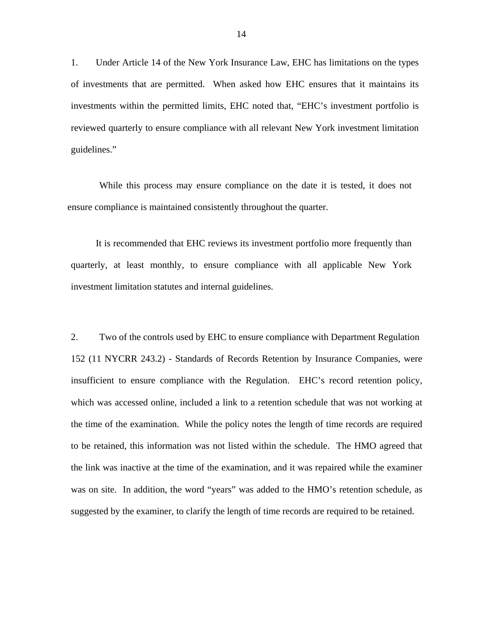1. Under Article 14 of the New York Insurance Law, EHC has limitations on the types of investments that are permitted. When asked how EHC ensures that it maintains its investments within the permitted limits, EHC noted that, "EHC's investment portfolio is reviewed quarterly to ensure compliance with all relevant New York investment limitation guidelines."

While this process may ensure compliance on the date it is tested, it does not ensure compliance is maintained consistently throughout the quarter.

It is recommended that EHC reviews its investment portfolio more frequently than quarterly, at least monthly, to ensure compliance with all applicable New York investment limitation statutes and internal guidelines.

2. Two of the controls used by EHC to ensure compliance with Department Regulation 152 (11 NYCRR 243.2) - Standards of Records Retention by Insurance Companies, were insufficient to ensure compliance with the Regulation. EHC's record retention policy, which was accessed online, included a link to a retention schedule that was not working at the time of the examination. While the policy notes the length of time records are required to be retained, this information was not listed within the schedule. The HMO agreed that the link was inactive at the time of the examination, and it was repaired while the examiner was on site. In addition, the word "years" was added to the HMO's retention schedule, as suggested by the examiner, to clarify the length of time records are required to be retained.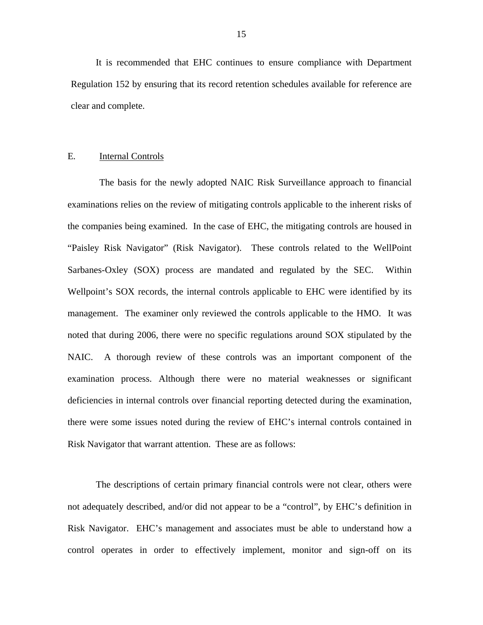<span id="page-16-0"></span>It is recommended that EHC continues to ensure compliance with Department Regulation 152 by ensuring that its record retention schedules available for reference are clear and complete.

#### E. **Internal Controls**

The basis for the newly adopted NAIC Risk Surveillance approach to financial examinations relies on the review of mitigating controls applicable to the inherent risks of the companies being examined. In the case of EHC, the mitigating controls are housed in "Paisley Risk Navigator" (Risk Navigator). These controls related to the WellPoint Sarbanes-Oxley (SOX) process are mandated and regulated by the SEC. Within Wellpoint's SOX records, the internal controls applicable to EHC were identified by its management. The examiner only reviewed the controls applicable to the HMO. It was noted that during 2006, there were no specific regulations around SOX stipulated by the NAIC. A thorough review of these controls was an important component of the examination process. Although there were no material weaknesses or significant deficiencies in internal controls over financial reporting detected during the examination, there were some issues noted during the review of EHC's internal controls contained in Risk Navigator that warrant attention. These are as follows:

The descriptions of certain primary financial controls were not clear, others were not adequately described, and/or did not appear to be a "control", by EHC's definition in Risk Navigator. EHC's management and associates must be able to understand how a control operates in order to effectively implement, monitor and sign-off on its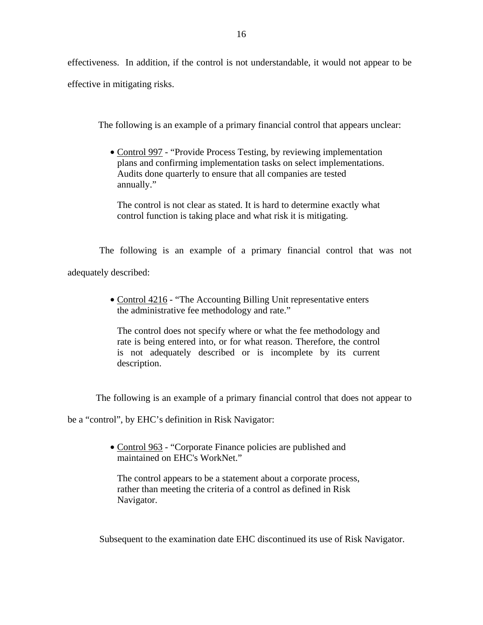effectiveness. In addition, if the control is not understandable, it would not appear to be effective in mitigating risks.

The following is an example of a primary financial control that appears unclear:

• Control 997 - "Provide Process Testing, by reviewing implementation plans and confirming implementation tasks on select implementations. Audits done quarterly to ensure that all companies are tested annually."

The control is not clear as stated. It is hard to determine exactly what control function is taking place and what risk it is mitigating.

The following is an example of a primary financial control that was not adequately described:

> • Control 4216 - "The Accounting Billing Unit representative enters" the administrative fee methodology and rate."

The control does not specify where or what the fee methodology and rate is being entered into, or for what reason. Therefore, the control is not adequately described or is incomplete by its current description.

The following is an example of a primary financial control that does not appear to

be a "control", by EHC's definition in Risk Navigator:

• Control 963 - "Corporate Finance policies are published and maintained on EHC's WorkNet."

The control appears to be a statement about a corporate process, rather than meeting the criteria of a control as defined in Risk Navigator.

Subsequent to the examination date EHC discontinued its use of Risk Navigator.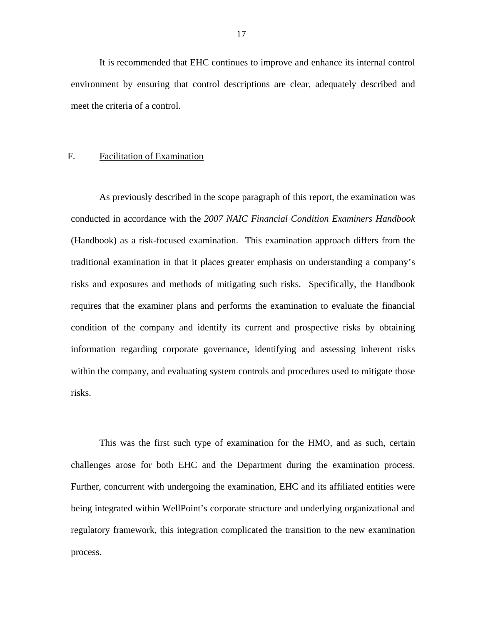<span id="page-18-0"></span>It is recommended that EHC continues to improve and enhance its internal control environment by ensuring that control descriptions are clear, adequately described and meet the criteria of a control.

#### F. Facilitation of Examination

As previously described in the scope paragraph of this report, the examination was conducted in accordance with the *2007 NAIC Financial Condition Examiners Handbook*  (Handbook) as a risk-focused examination. This examination approach differs from the traditional examination in that it places greater emphasis on understanding a company's risks and exposures and methods of mitigating such risks. Specifically, the Handbook requires that the examiner plans and performs the examination to evaluate the financial condition of the company and identify its current and prospective risks by obtaining information regarding corporate governance, identifying and assessing inherent risks within the company, and evaluating system controls and procedures used to mitigate those risks.

This was the first such type of examination for the HMO, and as such, certain challenges arose for both EHC and the Department during the examination process. Further, concurrent with undergoing the examination, EHC and its affiliated entities were being integrated within WellPoint's corporate structure and underlying organizational and regulatory framework, this integration complicated the transition to the new examination process.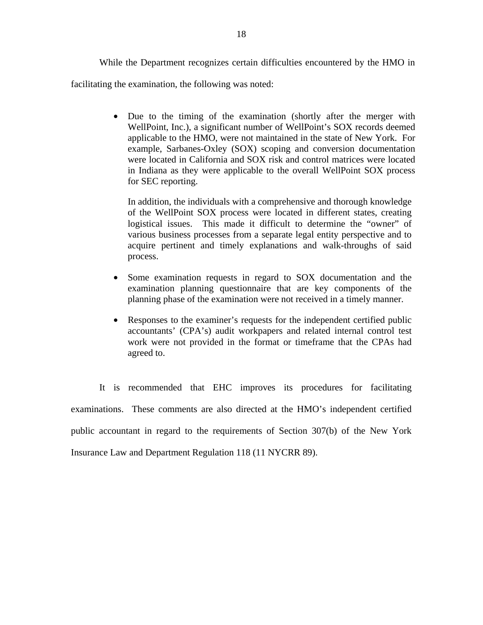While the Department recognizes certain difficulties encountered by the HMO in facilitating the examination, the following was noted:

> • Due to the timing of the examination (shortly after the merger with WellPoint, Inc.), a significant number of WellPoint's SOX records deemed applicable to the HMO, were not maintained in the state of New York. For example, Sarbanes-Oxley (SOX) scoping and conversion documentation were located in California and SOX risk and control matrices were located in Indiana as they were applicable to the overall WellPoint SOX process for SEC reporting.

In addition, the individuals with a comprehensive and thorough knowledge of the WellPoint SOX process were located in different states, creating logistical issues. This made it difficult to determine the "owner" of various business processes from a separate legal entity perspective and to acquire pertinent and timely explanations and walk-throughs of said process.

- Some examination requests in regard to SOX documentation and the examination planning questionnaire that are key components of the planning phase of the examination were not received in a timely manner.
- Responses to the examiner's requests for the independent certified public accountants' (CPA's) audit workpapers and related internal control test work were not provided in the format or timeframe that the CPAs had agreed to.

It is recommended that EHC improves its procedures for facilitating examinations. These comments are also directed at the HMO's independent certified public accountant in regard to the requirements of Section 307(b) of the New York Insurance Law and Department Regulation 118 (11 NYCRR 89).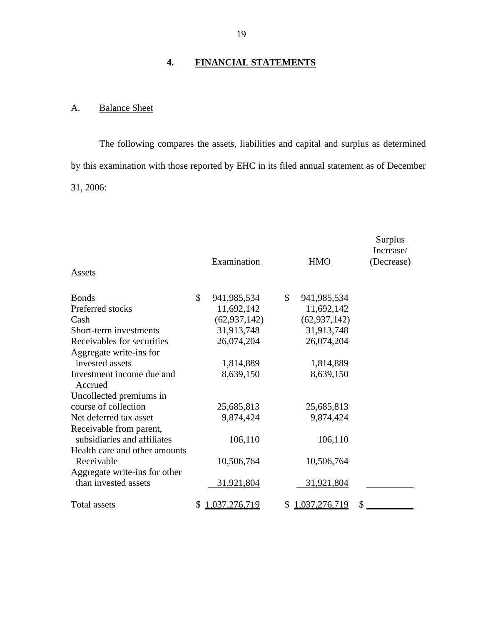#### **4. FINANCIAL STATEMENTS**

#### A. Balance Sheet

The following compares the assets, liabilities and capital and surplus as determined by this examination with those reported by EHC in its filed annual statement as of December 31, 2006:

| Assets                                                 | Examination         | HMO                 | Surplus<br>Increase/<br>(Decrease) |
|--------------------------------------------------------|---------------------|---------------------|------------------------------------|
| <b>Bonds</b>                                           | \$<br>941, 985, 534 | \$<br>941, 985, 534 |                                    |
| Preferred stocks                                       | 11,692,142          | 11,692,142          |                                    |
| Cash                                                   | (62, 937, 142)      | (62, 937, 142)      |                                    |
| Short-term investments                                 | 31,913,748          | 31,913,748          |                                    |
| Receivables for securities                             | 26,074,204          | 26,074,204          |                                    |
| Aggregate write-ins for<br>invested assets             | 1,814,889           | 1,814,889           |                                    |
| Investment income due and<br>Accrued                   | 8,639,150           | 8,639,150           |                                    |
| Uncollected premiums in                                |                     |                     |                                    |
| course of collection                                   | 25,685,813          | 25,685,813          |                                    |
| Net deferred tax asset                                 | 9,874,424           | 9,874,424           |                                    |
| Receivable from parent,<br>subsidiaries and affiliates | 106,110             | 106,110             |                                    |
| Health care and other amounts<br>Receivable            | 10,506,764          | 10,506,764          |                                    |
| Aggregate write-ins for other<br>than invested assets  | 31,921,804          | 31,921,804          |                                    |
| <b>Total assets</b>                                    | \$<br>1,037,276,719 | \$<br>1,037,276,719 | \$                                 |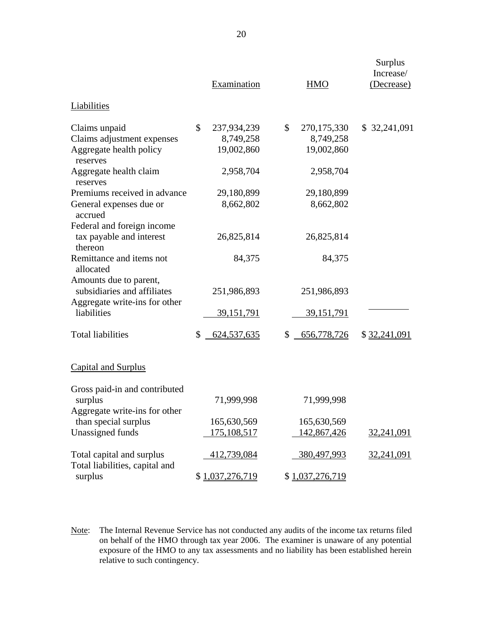|                                                                   | Examination        |              | <b>HMO</b>         | Surplus<br>Increase/<br>(Decrease) |
|-------------------------------------------------------------------|--------------------|--------------|--------------------|------------------------------------|
| <b>Liabilities</b>                                                |                    |              |                    |                                    |
| Claims unpaid                                                     | \$<br>237,934,239  | $\mathbb{S}$ | 270, 175, 330      | \$ 32,241,091                      |
| Claims adjustment expenses                                        | 8,749,258          |              | 8,749,258          |                                    |
| Aggregate health policy<br>reserves                               | 19,002,860         |              | 19,002,860         |                                    |
| Aggregate health claim<br>reserves                                | 2,958,704          |              | 2,958,704          |                                    |
| Premiums received in advance                                      | 29,180,899         |              | 29,180,899         |                                    |
| General expenses due or<br>accrued                                | 8,662,802          |              | 8,662,802          |                                    |
| Federal and foreign income<br>tax payable and interest<br>thereon | 26,825,814         |              | 26,825,814         |                                    |
| Remittance and items not<br>allocated                             | 84,375             |              | 84,375             |                                    |
| Amounts due to parent,<br>subsidiaries and affiliates             | 251,986,893        |              | 251,986,893        |                                    |
| Aggregate write-ins for other<br>liabilities                      | <u>39,151,791</u>  |              | <u>39,151,791</u>  |                                    |
| <b>Total liabilities</b>                                          | \$<br>624,537,635  | \$           | 656,778,726        | \$32,241,091                       |
| <b>Capital and Surplus</b>                                        |                    |              |                    |                                    |
| Gross paid-in and contributed                                     |                    |              |                    |                                    |
| surplus<br>Aggregate write-ins for other                          | 71,999,998         |              | 71,999,998         |                                    |
| than special surplus                                              | 165,630,569        |              | 165,630,569        |                                    |
| Unassigned funds                                                  | <u>175,108,517</u> |              | 142,867,426        | 32,241,091                         |
|                                                                   |                    |              |                    |                                    |
| Total capital and surplus<br>Total liabilities, capital and       | 412,739,084        |              | <u>380,497,993</u> | 32,241,091                         |
| surplus                                                           | \$1,037,276,719    |              | \$1,037,276,719    |                                    |

Note: The Internal Revenue Service has not conducted any audits of the income tax returns filed on behalf of the HMO through tax year 2006. The examiner is unaware of any potential exposure of the HMO to any tax assessments and no liability has been established herein relative to such contingency.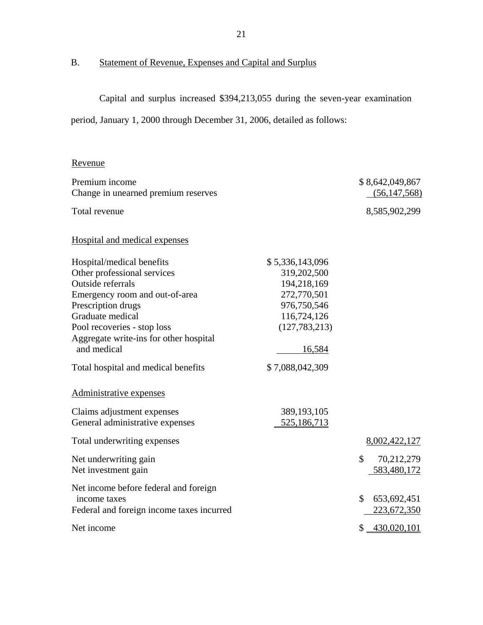## B. Statement of Revenue, Expenses and Capital and Surplus

Capital and surplus increased \$394,213,055 during the seven-year examination

period, January 1, 2000 through December 31, 2006, detailed as follows:

#### Revenue

| Premium income<br>Change in unearned premium reserves                                                                                                                                                                                                                                    |                                                                                                                                            | \$8,642,049,867<br>(56, 147, 568) |
|------------------------------------------------------------------------------------------------------------------------------------------------------------------------------------------------------------------------------------------------------------------------------------------|--------------------------------------------------------------------------------------------------------------------------------------------|-----------------------------------|
| Total revenue                                                                                                                                                                                                                                                                            |                                                                                                                                            | 8,585,902,299                     |
| Hospital and medical expenses                                                                                                                                                                                                                                                            |                                                                                                                                            |                                   |
| Hospital/medical benefits<br>Other professional services<br>Outside referrals<br>Emergency room and out-of-area<br>Prescription drugs<br>Graduate medical<br>Pool recoveries - stop loss<br>Aggregate write-ins for other hospital<br>and medical<br>Total hospital and medical benefits | \$5,336,143,096<br>319,202,500<br>194,218,169<br>272,770,501<br>976,750,546<br>116,724,126<br>(127, 783, 213)<br>16,584<br>\$7,088,042,309 |                                   |
| Administrative expenses                                                                                                                                                                                                                                                                  |                                                                                                                                            |                                   |
| Claims adjustment expenses<br>General administrative expenses                                                                                                                                                                                                                            | 389, 193, 105<br>525,186,713                                                                                                               |                                   |
| Total underwriting expenses                                                                                                                                                                                                                                                              |                                                                                                                                            | 8,002,422,127                     |
| Net underwriting gain<br>Net investment gain                                                                                                                                                                                                                                             |                                                                                                                                            | \$<br>70,212,279<br>583,480,172   |
| Net income before federal and foreign<br>income taxes<br>Federal and foreign income taxes incurred                                                                                                                                                                                       |                                                                                                                                            | \$<br>653,692,451<br>223,672,350  |
| Net income                                                                                                                                                                                                                                                                               |                                                                                                                                            | $$ -430,020,101$                  |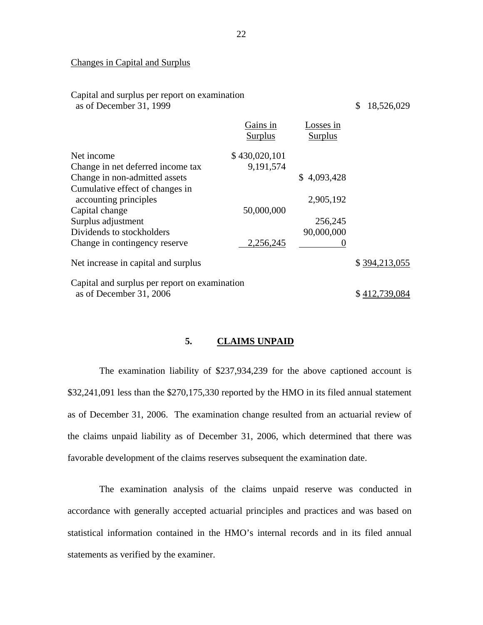#### Changes in Capital and Surplus

| Capital and surplus per report on examination<br>as of December 31, 1999 |                     |                             | 18,526,029<br>\$ |
|--------------------------------------------------------------------------|---------------------|-----------------------------|------------------|
|                                                                          | Gains in<br>Surplus | Losses in<br><b>Surplus</b> |                  |
| Net income                                                               | \$430,020,101       |                             |                  |
| Change in net deferred income tax                                        | 9,191,574           |                             |                  |
| Change in non-admitted assets                                            |                     | \$4,093,428                 |                  |
| Cumulative effect of changes in                                          |                     |                             |                  |
| accounting principles                                                    |                     | 2,905,192                   |                  |
| Capital change                                                           | 50,000,000          |                             |                  |
| Surplus adjustment                                                       |                     | 256,245                     |                  |
| Dividends to stockholders                                                |                     | 90,000,000                  |                  |
| Change in contingency reserve                                            | 2,256,245           |                             |                  |
| Net increase in capital and surplus                                      | \$394,213,055       |                             |                  |
| Capital and surplus per report on examination                            |                     |                             |                  |
| as of December 31, 2006                                                  |                     |                             | \$412,739,084    |

#### **5. CLAIMS UNPAID**

The examination liability of \$237,934,239 for the above captioned account is \$32,241,091 less than the \$270,175,330 reported by the HMO in its filed annual statement as of December 31, 2006. The examination change resulted from an actuarial review of the claims unpaid liability as of December 31, 2006, which determined that there was favorable development of the claims reserves subsequent the examination date.

The examination analysis of the claims unpaid reserve was conducted in accordance with generally accepted actuarial principles and practices and was based on statistical information contained in the HMO's internal records and in its filed annual statements as verified by the examiner.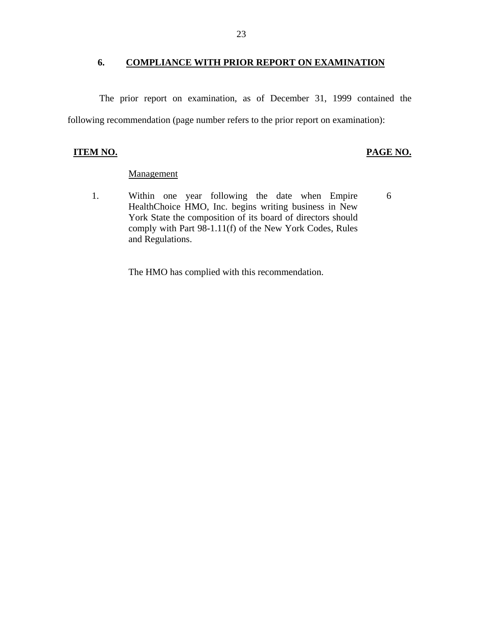#### <span id="page-24-0"></span>**6. COMPLIANCE WITH PRIOR REPORT ON EXAMINATION**

The prior report on examination, as of December 31, 1999 contained the following recommendation (page number refers to the prior report on examination):

#### **ITEM NO. PAGE NO.**

#### Management

1. Within one year following the date when Empire 6 HealthChoice HMO, Inc. begins writing business in New York State the composition of its board of directors should comply with Part 98-1.11(f) of the New York Codes, Rules and Regulations.

The HMO has complied with this recommendation.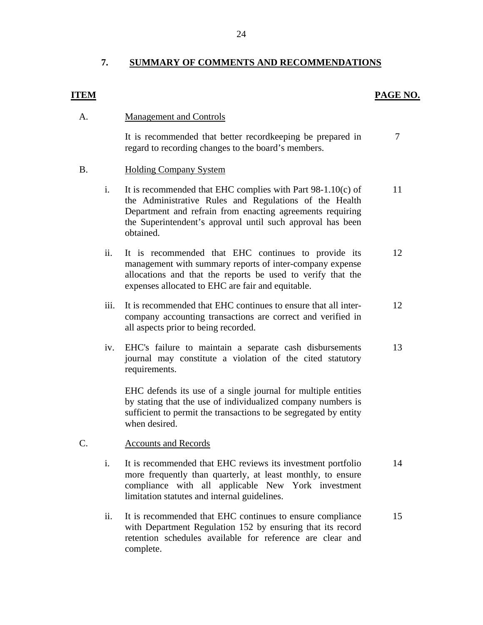# **7. SUMMARY OF COMMENTS AND RECOMMENDATIONS ITEM**

#### **PAGE NO.**

#### **Management and Controls** A.

It is recommended that better recordkeeping be prepared in regard to recording changes to the board's members. 7

#### **Holding Company System** B.

- i. It is recommended that EHC complies with Part  $98-1.10(c)$  of the Administrative Rules and Regulations of the Health Department and refrain from enacting agreements requiring the Superintendent's approval until such approval has been obtained. 11
- ii. It is recommended that EHC continues to provide its management with summary reports of inter-company expense allocations and that the reports be used to verify that the expenses allocated to EHC are fair and equitable. 12
- iii. It is recommended that EHC continues to ensure that all intercompany accounting transactions are correct and verified in all aspects prior to being recorded. 12
- iv. EHC's failure to maintain a separate cash disbursements journal may constitute a violation of the cited statutory requirements. 13

EHC defends its use of a single journal for multiple entities by stating that the use of individualized company numbers is sufficient to permit the transactions to be segregated by entity when desired.

#### **Accounts and Records** C.

- i. It is recommended that EHC reviews its investment portfolio more frequently than quarterly, at least monthly, to ensure compliance with all applicable New York investment limitation statutes and internal guidelines. 14
- ii. It is recommended that EHC continues to ensure compliance with Department Regulation 152 by ensuring that its record retention schedules available for reference are clear and complete. 15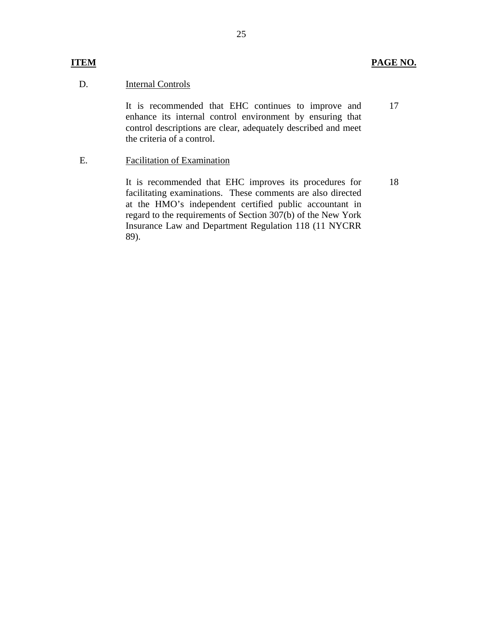#### **Internal Controls**

**ITEM** 

D. Internal Controls<br>It is recommended that EHC continues to improve and enhance its internal control environment by ensuring that control descriptions are clear, adequately described and meet the criteria of a control. 17

E. Facilitation of Examination

It is recommended that EHC improves its procedures for facilitating examinations. These comments are also directed at the HMO's independent certified public accountant in regard to the requirements of Section 307(b) of the New York Insurance Law and Department Regulation 118 (11 NYCRR 89). 18